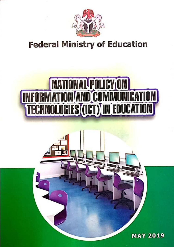

## **Federal Ministry of Education**

# **NATIONAL POLICY ON<br>INFORMATION AND COMMUNICATION<br>TECHNOLOGIES (ICT) IN EDUCATION**

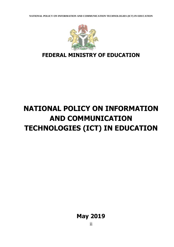**NATIONAL POLICY ON INFORMATION AND COMMUNICATION TECHNOLOGIES (ICT) IN EDUCATION**



## **FEDERAL MINISTRY OF EDUCATION**

# **NATIONAL POLICY ON INFORMATION AND COMMUNICATION TECHNOLOGIES (ICT) IN EDUCATION**

**May 2019**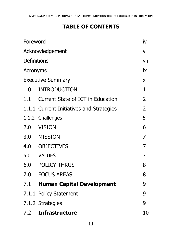## **TABLE OF CONTENTS**

| Foreword                 |                                          |                |  |
|--------------------------|------------------------------------------|----------------|--|
| Acknowledgement          |                                          |                |  |
| <b>Definitions</b>       |                                          |                |  |
| Acronyms                 |                                          |                |  |
| <b>Executive Summary</b> |                                          |                |  |
| 1.0                      | <b>INTRODUCTION</b>                      | $\mathbf{1}$   |  |
|                          | 1.1 Current State of ICT in Education    | $\overline{2}$ |  |
|                          | 1.1.1 Current Initiatives and Strategies | $\overline{2}$ |  |
|                          | 1.1.2 Challenges                         | 5              |  |
| 2.0                      | VISION                                   | 6              |  |
|                          | 3.0 MISSION                              | 7              |  |
|                          | 4.0 OBJECTIVES                           | $\overline{7}$ |  |
|                          | 5.0 VALUES                               | $\overline{7}$ |  |
|                          | <b>6.0 POLICY THRUST</b>                 | 8              |  |
|                          | 7.0 FOCUS AREAS                          | 8              |  |
|                          | 7.1 Human Capital Development            | 9              |  |
|                          | 7.1.1 Policy Statement                   | 9              |  |
|                          | 7.1.2 Strategies                         | 9              |  |
| 7.2                      | <b>Infrastructure</b>                    | 10             |  |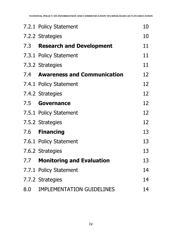|     | 7.2.1 Policy Statement          | 10 |
|-----|---------------------------------|----|
|     | 7.2.2 Strategies                | 10 |
| 7.3 | <b>Research and Development</b> | 11 |
|     | 7.3.1 Policy Statement          | 11 |
|     | 7.3.2 Strategies                | 11 |
|     | 7.4 Awareness and Communication | 12 |
|     | 7.4.1 Policy Statement          | 12 |
|     | 7.4.2 Strategies                | 12 |
| 7.5 | <b>Governance</b>               | 12 |
|     | 7.5.1 Policy Statement          | 12 |
|     | 7.5.2 Strategies                | 12 |
|     | 7.6 Financing                   | 13 |
|     | 7.6.1 Policy Statement          | 13 |
|     | 7.6.2 Strategies                | 13 |
|     | 7.7 Monitoring and Evaluation   | 13 |
|     | 7.7.1 Policy Statement          | 14 |
|     | 7.7.2 Strategies                | 14 |
|     | 8.0 IMPLEMENTATION GUIDELINES   | 14 |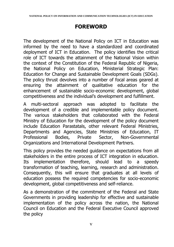## **FOREWORD**

The development of the National Policy on ICT in Education was informed by the need to have a standardized and coordinated deployment of ICT in Education. The policy identifies the critical role of ICT towards the attainment of the National Vision within the context of the Constitution of the Federal Republic of Nigeria, the National Policy on Education, Ministerial Strategic Plan: Education for Change and Sustainable Development Goals (SDGs). The policy thrust devolves into a number of focal areas geared at ensuring the attainment of qualitative education for the enhancement of sustainable socio-economic development, global competitiveness and the individual's development and fulfillment.

A multi-sectoral approach was adopted to facilitate the development of a credible and implementable policy document. The various stakeholders that collaborated with the Federal Ministry of Education for the development of the policy document include Education Parastatals, other relevant Federal Ministries, Departments and Agencies, State Ministries of Education, IT Professional Bodies, Private Sector, Non-Governmental Organizations and International Development Partners.

This policy provides the needed guidance on expectations from all stakeholders in the entire process of ICT integration in education. Its implementation therefore, should lead to a speedy transformation of teaching, learning, research and administration. Consequently, this will ensure that graduates at all levels of education possess the required competencies for socio-economic development, global competitiveness and self-reliance.

As a demonstration of the commitment of the Federal and State Governments in providing leadership for effective and sustainable implementation of the policy across the nation, the National Council on Education and the Federal Executive Council approved the policy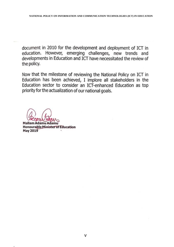document in 2010 for the development and deployment of ICT in education. However, emerging challenges, new trends and developments in Education and ICT have necessitated the review of the policy.

Now that the milestone of reviewing the National Policy on ICT in Education has been achieved, I implore all stakeholders in the Education sector to consider an ICT-enhanced Education as top priority for the actualization of our national goals.

Mallam Adamu Adamu **Honourable Minister of Education May 2019**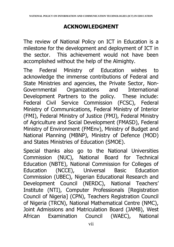## **ACKNOWLEDGMENT**

The review of National Policy on ICT in Education is a milestone for the development and deployment of ICT in the sector. This achievement would not have been accomplished without the help of the Almighty.

The Federal Ministry of Education wishes to acknowledge the immense contributions of Federal and State Ministries and agencies, the Private Sector, Non-Governmental Organizations and International Development Partners to the policy. These include: Federal Civil Service Commission (FCSC), Federal Ministry of Communications, Federal Ministry of Interior (FMI), Federal Ministry of Justice (FMJ), Federal Ministry of Agriculture and Social Development (FMASD), Federal Ministry of Environment (FMEnv), Ministry of Budget and National Planning (MBNP), Ministry of Defence (MOD) and States Ministries of Education (SMOE).

Special thanks also go to the National Universities Commission (NUC), National Board for Technical Education (NBTE), National Commission for Colleges of Education (NCCE), Universal Basic Education Commission (UBEC), Nigerian Educational Research and Development Council (NERDC), National Teachers' Institute (NTI), Computer Professionals [Registration Council of Nigeria] (CPN), Teachers Registration Council of Nigeria (TRCN), National Mathematical Centre (NMC), Joint Admissions and Matriculation Board (JAMB), West African Examination Council (WAEC), National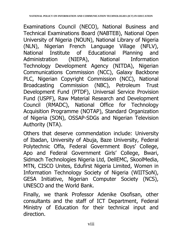Examinations Council (NECO), National Business and Technical Examinations Board (NABTEB), National Open University of Nigeria (NOUN), National Library of Nigeria (NLN), Nigerian French Language Village (NFLV), National Institute of Educational Planning and Administration (NIEPA), National Information Technology Development Agency (NITDA), Nigerian Communications Commission (NCC), Galaxy Backbone PLC, Nigerian Copyright Commission (NCC), National Broadcasting Commission (NBC), Petroleum Trust Development Fund (PTDF), Universal Service Provision Fund (USPF), Raw Material Research and Development Council (RMADC), National Office for Technology Acquisition Programme (NOTAP), Standard Organization of Nigeria (SON), OSSAP-SDGs and Nigerian Television Authority (NTA).

Others that deserve commendation include: University of Ibadan, University of Abuja, Baze University, Federal Polytechnic Offa, Federal Government Boys' College, Apo and Federal Government Girls' College, Bwari, Sidmach Technologies Nigeria Ltd, DellEMC, SkoolMedia, MTN, CISCO Unites, Edufirst Nigeria Limited, Women in Information Technology Society of Nigeria (WIITSoN), GESA Initiative, Nigerian Computer Society (NCS), UNESCO and the World Bank.

Finally, we thank Professor Adenike Osofisan, other consultants and the staff of ICT Department, Federal Ministry of Education for their technical input and direction.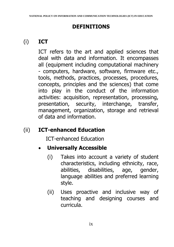## **DEFINITIONS**

## (i) **ICT**

ICT refers to the art and applied sciences that deal with data and information. It encompasses all (equipment including computational machinery - computers, hardware, software, firmware etc., tools, methods, practices, processes, procedures, concepts, principles and the sciences) that come into play in the conduct of the information activities: acquisition, representation, processing, presentation, security, interchange, transfer, management, organization, storage and retrieval of data and information.

## (ii) **ICT-enhanced Education**

ICT-enhanced Education

## **Universally Accessible**

- (i) Takes into account a variety of student characteristics, including ethnicity, race, abilities, disabilities, age, gender, language abilities and preferred learning style.
- (ii) Uses proactive and inclusive way of teaching and designing courses and curricula.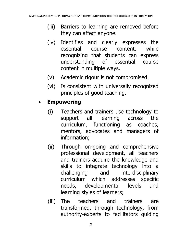- (iii) Barriers to learning are removed before they can affect anyone.
- (iv) Identifies and clearly expresses the essential course content, while recognizing that students can express understanding of essential course content in multiple ways.
- (v) Academic rigour is not compromised.
- (vi) Is consistent with universally recognized principles of good teaching.

#### **Empowering**

- (i) Teachers and trainers use technology to support all learning across the curriculum, functioning as coaches, mentors, advocates and managers of information;
- (ii) Through on-going and comprehensive professional development, all teachers and trainers acquire the knowledge and skills to integrate technology into a challenging and interdisciplinary curriculum which addresses specific needs, developmental levels and learning styles of learners;
- (iii) The teachers and trainers are transformed, through technology, from authority-experts to facilitators guiding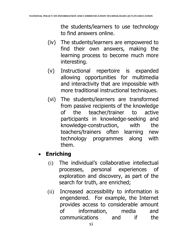the students/learners to use technology to find answers online.

- (iv) The students/learners are empowered to find their own answers, making the learning process to become much more interesting.
- (v) Instructional repertoire is expanded allowing opportunities for multimedia and interactivity that are impossible with more traditional instructional techniques.
- (vi) The students/learners are transformed from passive recipients of the knowledge of the teacher/trainer to active participants in knowledge-seeking and knowledge-construction, with the teachers/trainers often learning new technology programmes along with them.

## **Enriching**

- (i) The individual's collaborative intellectual processes, personal experiences of exploration and discovery, as part of the search for truth, are enriched;
- (ii) Increased accessibility to information is engendered. For example, the Internet provides access to considerable amount of information, media and communications and if the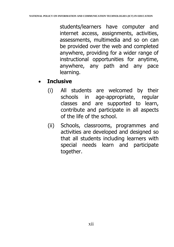students/learners have computer and internet access, assignments, activities, assessments, multimedia and so on can be provided over the web and completed anywhere, providing for a wider range of instructional opportunities for anytime, anywhere, any path and any pace learning.

## **Inclusive**

- (i) All students are welcomed by their schools in age-appropriate, regular classes and are supported to learn, contribute and participate in all aspects of the life of the school.
- (ii) Schools, classrooms, programmes and activities are developed and designed so that all students including learners with special needs learn and participate together.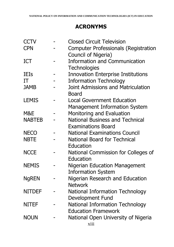## **ACRONYMS**

| <b>CCTV</b>   | <b>Closed Circuit Television</b>            |
|---------------|---------------------------------------------|
| <b>CPN</b>    | <b>Computer Professionals (Registration</b> |
|               | Council of Nigeria)                         |
| <b>ICT</b>    | <b>Information and Communication</b>        |
|               | <b>Technologies</b>                         |
| <b>IEIs</b>   | <b>Innovation Enterprise Institutions</b>   |
| IT            | <b>Information Technology</b>               |
| <b>JAMB</b>   | <b>Joint Admissions and Matriculation</b>   |
|               | <b>Board</b>                                |
| <b>LEMIS</b>  | <b>Local Government Education</b>           |
|               | <b>Management Information System</b>        |
| M&E           | Monitoring and Evaluation                   |
| <b>NABTEB</b> | <b>National Business and Technical</b>      |
|               | <b>Examinations Board</b>                   |
| <b>NECO</b>   | <b>National Examinations Council</b>        |
| <b>NBTE</b>   | <b>National Board for Technical</b>         |
|               | Education                                   |
| <b>NCCE</b>   | National Commission for Colleges of         |
|               | Education                                   |
| <b>NEMIS</b>  | <b>Nigerian Education Management</b>        |
|               | <b>Information System</b>                   |
| <b>NgREN</b>  | Nigerian Research and Education             |
|               | <b>Network</b>                              |
| <b>NITDEF</b> | National Information Technology             |
|               | Development Fund                            |
| <b>NITEF</b>  | <b>National Information Technology</b>      |
|               | <b>Education Framework</b>                  |
| <b>NOUN</b>   | National Open University of Nigeria         |
|               | xiii                                        |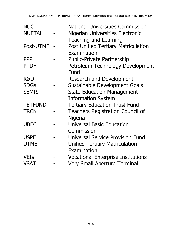|             | <b>National Universities Commission</b>    |
|-------------|--------------------------------------------|
|             | Nigerian Universities Electronic           |
|             | Teaching and Learning                      |
| Post-UTME - | <b>Post Unified Tertiary Matriculation</b> |
|             | Examination                                |
|             | <b>Public-Private Partnership</b>          |
|             | Petroleum Technology Development           |
|             | Fund                                       |
|             | Research and Development                   |
|             | Sustainable Development Goals              |
|             | <b>State Education Management</b>          |
|             | <b>Information System</b>                  |
|             | <b>Tertiary Education Trust Fund</b>       |
|             | <b>Teachers Registration Council of</b>    |
|             | Nigeria                                    |
|             | <b>Universal Basic Education</b>           |
|             | Commission                                 |
|             | <b>Universal Service Provision Fund</b>    |
|             | <b>Unified Tertiary Matriculation</b>      |
|             | Examination                                |
|             | <b>Vocational Enterprise Institutions</b>  |
|             | <b>Very Small Aperture Terminal</b>        |
|             |                                            |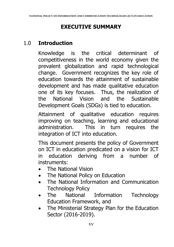## **EXECUTIVE SUMMARY**

## 1.0 **Introduction**

Knowledge is the critical determinant of competitiveness in the world economy given the prevalent globalization and rapid technological change. Government recognizes the key role of education towards the attainment of sustainable development and has made qualitative education one of its key focuses. Thus, the realization of the National Vision and the Sustainable Development Goals (SDGs) is tied to education.

Attainment of qualitative education requires improving on teaching, learning and educational administration. This in turn requires the integration of ICT into education.

This document presents the policy of Government on ICT in education predicated on a vision for ICT in education deriving from a number of instruments:

- The National Vision
- The National Policy on Education
- The National Information and Communication Technology Policy
- The National Information Technology Education Framework, and
- The Ministerial Strategy Plan for the Education Sector (2016-2019).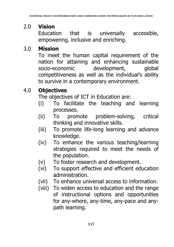## 2.0 **Vision**

Education that is universally accessible, empowering, inclusive and enriching.

## 3.0 **Mission**

To meet the human capital requirement of the nation for attaining and enhancing sustainable socio-economic development, global competitiveness as well as the individual's ability to survive in a contemporary environment.

## 4.0 **Objectives**

The objectives of ICT in Education are:

- (i) To facilitate the teaching and learning processes.
- (ii) To promote problem-solving, critical thinking and innovative skills.
- (iii) To promote life-long learning and advance knowledge.
- (iv) To enhance the various teaching/learning strategies required to meet the needs of the population.
- (v) To foster research and development.
- (vi) To support effective and efficient education administration.
- (vii) To enhance universal access to information.
- (viii) To widen access to education and the range of instructional options and opportunities for any-where, any-time, any-pace and anypath learning.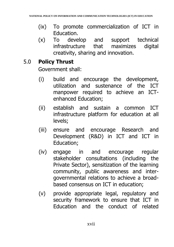- (ix) To promote commercialization of ICT in Education.
- (x) To develop and support technical infrastructure that maximizes digital creativity, sharing and innovation.

## 5.0 **Policy Thrust**

Government shall:

- (i) build and encourage the development, utilization and sustenance of the ICT manpower required to achieve an ICTenhanced Education;
- (ii) establish and sustain a common ICT infrastructure platform for education at all levels;
- (iii) ensure and encourage Research and Development (R&D) in ICT and ICT in Education;
- (iv) engage in and encourage regular stakeholder consultations (including the Private Sector), sensitization of the learning community, public awareness and intergovernmental relations to achieve a broadbased consensus on ICT in education;
- (v) provide appropriate legal, regulatory and security framework to ensure that ICT in Education and the conduct of related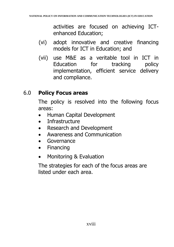activities are focused on achieving ICTenhanced Education;

- (vi) adopt innovative and creative financing models for ICT in Education; and
- (vii) use M&E as a veritable tool in ICT in Education for tracking policy implementation, efficient service delivery and compliance.

## 6.0 **Policy Focus areas**

The policy is resolved into the following focus areas:

- Human Capital Development
- Infrastructure
- Research and Development
- Awareness and Communication
- Governance
- Financing
- Monitoring & Evaluation

The strategies for each of the focus areas are listed under each area.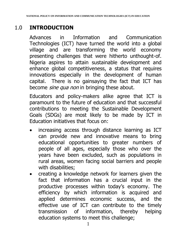## 1.0 **INTRODUCTION**

Advances in Information and Communication Technologies (ICT) have turned the world into a global village and are transforming the world economy presenting challenges that were hitherto unthought-of. Nigeria aspires to attain sustainable development and enhance global competitiveness, a status that requires innovations especially in the development of human capital. There is no gainsaying the fact that ICT has become *sine qua non* in bringing these about.

Educators and policy-makers alike agree that ICT is paramount to the future of education and that successful contributions to meeting the Sustainable Development Goals (SDGs) are most likely to be made by ICT in Education initiatives that focus on:

- increasing access through distance learning as ICT can provide new and innovative means to bring educational opportunities to greater numbers of people of all ages, especially those who over the years have been excluded, such as populations in rural areas, women facing social barriers and people with disabilities;
- creating a knowledge network for learners given the fact that information has a crucial input in the productive processes within today's economy. The efficiency by which information is acquired and applied determines economic success, and the effective use of ICT can contribute to the timely transmission of information, thereby helping education systems to meet this challenge;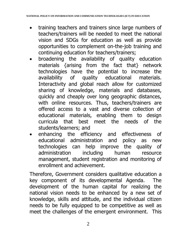- training teachers and trainers since large numbers of teachers/trainers will be needed to meet the national vision and SDGs for education as well as provide opportunities to complement on-the-job training and continuing education for teachers/trainers;
- broadening the availability of quality education materials {arising from the fact that} network technologies have the potential to increase the availability of quality educational materials. Interactivity and global reach allow for customized sharing of knowledge, materials and databases, quickly and cheaply over long geographic distances, with online resources. Thus, teachers/trainers are offered access to a vast and diverse collection of educational materials, enabling them to design curricula that best meet the needs of the students/learners; and
- enhancing the efficiency and effectiveness of educational administration and policy as new technologies can help improve the quality of administration including human resource management, student registration and monitoring of enrollment and achievement.

Therefore, Government considers qualitative education a key component of its developmental Agenda. The development of the human capital for realizing the national vision needs to be enhanced by a new set of knowledge, skills and attitude, and the individual citizen needs to be fully equipped to be competitive as well as meet the challenges of the emergent environment. This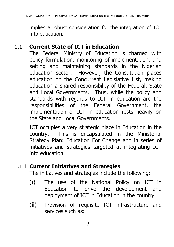implies a robust consideration for the integration of ICT into education.

#### 1.1 **Current State of ICT in Education**

The Federal Ministry of Education is charged with policy formulation, monitoring of implementation, and setting and maintaining standards in the Nigerian education sector. However, the Constitution places education on the Concurrent Legislative List, making education a shared responsibility of the Federal, State and Local Governments. Thus, while the policy and standards with regards to ICT in education are the responsibilities of the Federal Government, the implementation of ICT in education rests heavily on the State and Local Governments.

ICT occupies a very strategic place in Education in the country. This is encapsulated in the Ministerial Strategy Plan: Education For Change and in series of initiatives and strategies targeted at integrating ICT into education.

#### 1.1.1 **Current Initiatives and Strategies**

The initiatives and strategies include the following:

- (i) The use of the National Policy on ICT in Education to drive the development and deployment of ICT in Education in the country.
- (ii) Provision of requisite ICT infrastructure and services such as: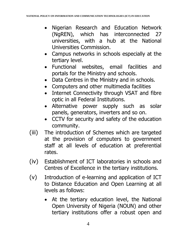- Nigerian Research and Education Network (NgREN), which has interconnected 27 universities, with a hub at the National Universities Commission.
- Campus networks in schools especially at the tertiary level.
- Functional websites, email facilities and portals for the Ministry and schools.
- Data Centres in the Ministry and in schools.
- Computers and other multimedia facilities
- Internet Connectivity through VSAT and fibre optic in all Federal Institutions.
- Alternative power supply such as solar panels, generators, inverters and so on.
- CCTV for security and safety of the education community.
- (iii) The introduction of Schemes which are targeted at the provision of computers to government staff at all levels of education at preferential rates.
- (iv) Establishment of ICT laboratories in schools and Centres of Excellence in the tertiary institutions.
- (v) Introduction of e-learning and application of ICT to Distance Education and Open Learning at all levels as follows:
	- At the tertiary education level, the National Open University of Nigeria (NOUN) and other tertiary institutions offer a robust open and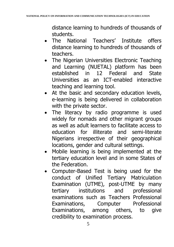distance learning to hundreds of thousands of students.

- The National Teachers' Institute offers distance learning to hundreds of thousands of teachers.
- The Nigerian Universities Electronic Teaching and Learning (NUETAL) platform has been established in 12 Federal and State Universities as an ICT-enabled interactive teaching and learning tool.
- At the basic and secondary education levels, e-learning is being delivered in collaboration with the private sector.
- The literacy by radio programme is used widely for nomads and other migrant groups as well as adult learners to facilitate access to education for illiterate and semi-literate Nigerians irrespective of their geographical locations, gender and cultural settings.
- Mobile learning is being implemented at the tertiary education level and in some States of the Federation.
- Computer-Based Test is being used for the conduct of Unified Tertiary Matriculation Examination (UTME), post-UTME by many tertiary institutions and professional examinations such as Teachers Professional Examinations, Computer Professional Examinations, among others, to give credibility to examination process.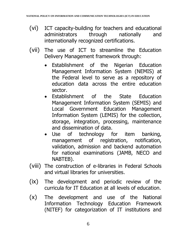- (vi) ICT capacity-building for teachers and educational administrators through nationally and internationally recognized certifications.
- (vii) The use of ICT to streamline the Education Delivery Management framework through:
	- Establishment of the Nigerian Education Management Information System (NEMIS) at the Federal level to serve as a repository of education data across the entire education sector.
	- Establishment of the State Education Management Information System (SEMIS) and Local Government Education Management Information System (LEMIS) for the collection, storage, integration, processing, maintenance and dissemination of data.
	- Use of technology for item banking, management of registration, notification, validation, admission and backend automation for national examinations (JAMB, NECO and NABTEB).
- (viii) The construction of e-libraries in Federal Schools and virtual libraries for universities.
- (ix) The development and periodic review of the curricula for IT Education at all levels of education.
- (x) The development and use of the National Information Technology Education Framework (NITEF) for categorization of IT institutions and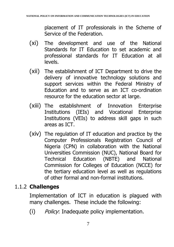placement of IT professionals in the Scheme of Service of the Federation.

- (xi) The development and use of the National Standards for IT Education to set academic and professional standards for IT Education at all levels.
- (xii) The establishment of ICT Department to drive the delivery of innovative technology solutions and support services within the Federal Ministry of Education and to serve as an ICT co-ordination resource for the education sector at large.
- (xiii) The establishment of Innovation Enterprise Institutions (IEIs) and Vocational Enterprise Institutions (VEIs) to address skill gaps in such areas as ICT.
- (xiv) The regulation of IT education and practice by the Computer Professionals Registration Council of Nigeria (CPN) in collaboration with the National Universities Commission (NUC), National Board for Technical Education (NBTE) and National Commission for Colleges of Education (NCCE) for the tertiary education level as well as regulations of other formal and non-formal institutions.

## 1.1.2 **Challenges**

Implementation of ICT in education is plagued with many challenges. These include the following:

(i) Policy: Inadequate policy implementation.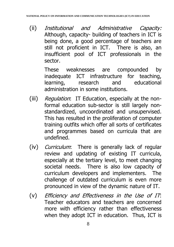(ii) Institutional and Administrative Capacity: Although, capacity- building of teachers in ICT is being done, a good percentage of teachers are still not proficient in ICT. There is also, an insufficient pool of ICT professionals in the sector.

> These weaknesses are compounded by inadequate ICT infrastructure for teaching, learning, research and educational administration in some institutions.

- (iii) Regulation: IT Education, especially at the nonformal education sub-sector is still largely nonstandardized, uncoordinated and unsupervised. This has resulted in the proliferation of computer training outfits which offer all sorts of certificates and programmes based on curricula that are undefined.
- (iv) Curriculum: There is generally lack of regular review and updating of existing IT curricula, especially at the tertiary level, to meet changing societal needs. There is also low capacity of curriculum developers and implementers. The challenge of outdated curriculum is even more pronounced in view of the dynamic nature of IT.
- (v) Efficiency and Effectiveness in the Use of IT: Teacher educators and teachers are concerned more with efficiency rather than effectiveness when they adopt ICT in education. Thus, ICT is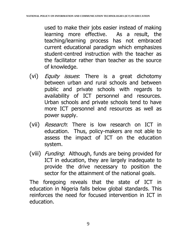used to make their jobs easier instead of making learning more effective. As a result, the teaching/learning process has not embraced current educational paradigm which emphasizes student-centred instruction with the teacher as the facilitator rather than teacher as the source of knowledge.

- (vi) *Equity issues*: There is a great dichotomy between urban and rural schools and between public and private schools with regards to availability of ICT personnel and resources. Urban schools and private schools tend to have more ICT personnel and resources as well as power supply.
- (vii) Research: There is low research on ICT in education. Thus, policy-makers are not able to assess the impact of ICT on the education system.
- (viii) *Funding*: Although, funds are being provided for ICT in education, they are largely inadequate to provide the drive necessary to position the sector for the attainment of the national goals.

The foregoing reveals that the state of ICT in education in Nigeria falls below global standards. This reinforces the need for focused intervention in ICT in education.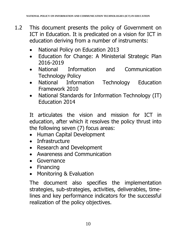- 1.2 This document presents the policy of Government on ICT in Education. It is predicated on a vision for ICT in education deriving from a number of instruments:
	- National Policy on Education 2013
	- Education for Change: A Ministerial Strategic Plan 2016-2019
	- National Information and Communication Technology Policy
	- National Information Technology Education Framework 2010
	- National Standards for Information Technology (IT) Education 2014

It articulates the vision and mission for ICT in education, after which it resolves the policy thrust into the following seven (7) focus areas:

- Human Capital Development
- Infrastructure
- Research and Development
- Awareness and Communication
- Governance
- Financing
- Monitoring & Evaluation

The document also specifies the implementation strategies, sub-strategies, activities, deliverables, timelines and key performance indicators for the successful realization of the policy objectives.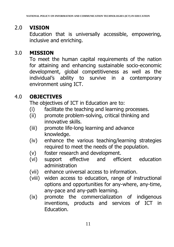## 2.0 **VISION**

Education that is universally accessible, empowering, inclusive and enriching.

## 3.0 **MISSION**

To meet the human capital requirements of the nation for attaining and enhancing sustainable socio-economic development, global competitiveness as well as the individual's ability to survive in a contemporary environment using ICT.

## 4.0 **OBJECTIVES**

The objectives of ICT in Education are to:

- (i) facilitate the teaching and learning processes.
- (ii) promote problem-solving, critical thinking and innovative skills.
- (iii) promote life-long learning and advance knowledge.
- (iv) enhance the various teaching/learning strategies required to meet the needs of the population.
- (v) foster research and development.
- (vi) support effective and efficient education administration
- (vii) enhance universal access to information.
- (viii) widen access to education, range of instructional options and opportunities for any-where, any-time, any-pace and any-path learning.
- (ix) promote the commercialization of indigenous inventions, products and services of ICT in Education.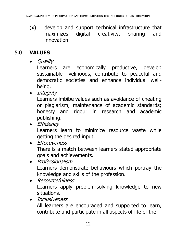(x) develop and support technical infrastructure that maximizes digital creativity, sharing and innovation.

#### 5.0 **VALUES**

• *Ouality* 

Learners are economically productive, develop sustainable livelihoods, contribute to peaceful and democratic societies and enhance individual wellbeing.

• Integrity

Learners imbibe values such as avoidance of cheating or plagiarism; maintenance of academic standards; honesty and rigour in research and academic publishing.

• Efficiency

Learners learn to minimize resource waste while getting the desired input.

- Fffectiveness There is a match between learners stated appropriate goals and achievements.
- Professionalism Learners demonstrate behaviours which portray the knowledge and skills of the profession.
- Resourcefulness Learners apply problem-solving knowledge to new situations.

• Inclusiveness All learners are encouraged and supported to learn, contribute and participate in all aspects of life of the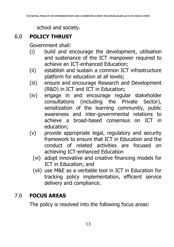school and society.

## 6.0 **POLICY THRUST**

Government shall:

- (i) build and encourage the development, utilisation and sustenance of the ICT manpower required to achieve an ICT-enhanced Education;
- (ii) establish and sustain a common ICT infrastructure platform for education at all levels;
- (iii) ensure and encourage Research and Development (R&D) in ICT and ICT in Education;
- (iv) engage in and encourage regular stakeholder consultations (including the Private Sector), sensitization of the learning community, public awareness and inter-governmental relations to achieve a broad-based consensus on ICT in education;
- (v) provide appropriate legal, regulatory and security framework to ensure that ICT in Education and the conduct of related activities are focused on achieving ICT-enhanced Education
	- (vi) adopt innovative and creative financing models for ICT in Education; and
	- (vii) use M&E as a veritable tool in ICT in Education for tracking policy implementation, efficient service delivery and compliance.

## 7.0 **FOCUS AREAS**

The policy is resolved into the following focus areas: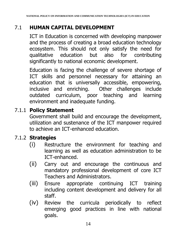## 7.1 **HUMAN CAPITAL DEVELOPMENT**

ICT in Education is concerned with developing manpower and the process of creating a broad education technology ecosystem. This should not only satisfy the need for qualitative education but also for contributing significantly to national economic development.

Education is facing the challenge of severe shortage of ICT skills and personnel necessary for attaining an education that is universally accessible, empowering, inclusive and enriching. Other challenges include outdated curriculum, poor teaching and learning environment and inadequate funding.

#### 7.1.1 **Policy Statement**

Government shall build and encourage the development, utilization and sustenance of the ICT manpower required to achieve an ICT-enhanced education.

## 7.1.2 **Strategies**

- (i) Restructure the environment for teaching and learning as well as education administration to be ICT-enhanced.
- (ii) Carry out and encourage the continuous and mandatory professional development of core ICT Teachers and Administrators.
- (iii) Ensure appropriate continuing ICT training including content development and delivery for all staff.
- (iv) Review the curricula periodically to reflect emerging good practices in line with national goals.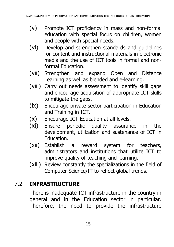- (v) Promote ICT proficiency in mass and non-formal education with special focus on children, women and people with special needs.
- (vi) Develop and strengthen standards and guidelines for content and instructional materials in electronic media and the use of ICT tools in formal and nonformal Education.
- (vii) Strengthen and expand Open and Distance Learning as well as blended and e-learning.
- (viii) Carry out needs assessment to identify skill gaps and encourage acquisition of appropriate ICT skills to mitigate the gaps.
- (ix) Encourage private sector participation in Education and Training in ICT.
- (x) Encourage ICT Education at all levels.
- (xi) Ensure periodic quality assurance in the development, utilization and sustenance of ICT in Education.
- (xii) Establish a reward system for teachers, administrators and institutions that utilize ICT to improve quality of teaching and learning.
- (xiii) Review constantly the specializations in the field of Computer Science/IT to reflect global trends.

## 7.2 **INFRASTRUCTURE**

There is inadequate ICT infrastructure in the country in general and in the Education sector in particular. Therefore, the need to provide the infrastructure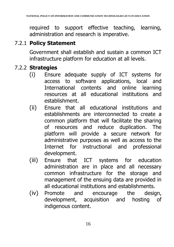required to support effective teaching, learning, administration and research is imperative.

## 7.2.1 **Policy Statement**

Government shall establish and sustain a common ICT infrastructure platform for education at all levels.

## 7.2.2 **Strategies**

- (i) Ensure adequate supply of ICT systems for access to software applications, local and International contents and online learning resources at all educational institutions and establishment.
- (ii) Ensure that all educational institutions and establishments are interconnected to create a common platform that will facilitate the sharing of resources and reduce duplication. The platform will provide a secure network for administrative purposes as well as access to the Internet for instructional and professional development.
- (iii) Ensure that ICT systems for education administration are in place and all necessary common infrastructure for the storage and management of the ensuing data are provided in all educational institutions and establishments.
- (iv) Promote and encourage the design, development, acquisition and hosting of indigenous content.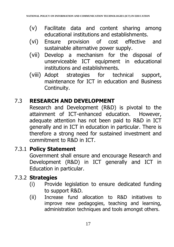- (v) Facilitate data and content sharing among educational institutions and establishments.
- (vi) Ensure provision of cost effective and sustainable alternative power supply.
- (vii) Develop a mechanism for the disposal of unserviceable ICT equipment in educational institutions and establishments.
- (viii) Adopt strategies for technical support, maintenance for ICT in education and Business Continuity.

## 7.3 **RESEARCH AND DEVELOPMENT**

Research and Development (R&D) is pivotal to the attainment of ICT-enhanced education. However, adequate attention has not been paid to R&D in ICT generally and in ICT in education in particular. There is therefore a strong need for sustained investment and commitment to R&D in ICT.

## 7.3.1 **Policy Statement**

Government shall ensure and encourage Research and Development (R&D) in ICT generally and ICT in Education in particular.

## 7.3.2 **Strategies**

- (i) Provide legislation to ensure dedicated funding to support R&D.
- (ii) Increase fund allocation to R&D initiatives to improve new pedagogies, teaching and learning, administration techniques and tools amongst others.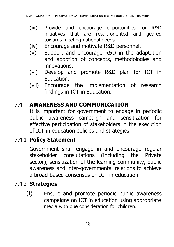- (iii) Provide and encourage opportunities for R&D initiatives that are result-oriented and geared towards meeting national needs.
- (iv) Encourage and motivate R&D personnel.
- (v) Support and encourage R&D in the adaptation and adoption of concepts, methodologies and innovations.
- (vi) Develop and promote R&D plan for ICT in Education.
- (vii) Encourage the implementation of research findings in ICT in Education.

## 7.4 **AWARENESS AND COMMUNICATION**

It is important for government to engage in periodic public awareness campaign and sensitization for effective participation of stakeholders in the execution of ICT in education policies and strategies.

## 7.4.1 **Policy Statement**

Government shall engage in and encourage regular stakeholder consultations (including the Private sector), sensitization of the learning community, public awareness and inter-governmental relations to achieve a broad-based consensus on ICT in education.

## 7.4.2 **Strategies**

(i) Ensure and promote periodic public awareness campaigns on ICT in education using appropriate media with due consideration for children.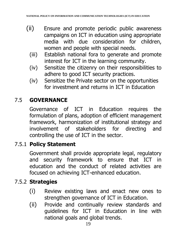- (ii) Ensure and promote periodic public awareness campaigns on ICT in education using appropriate media with due consideration for children, women and people with special needs.
	- (iii) Establish national fora to generate and promote interest for ICT in the learning community.
	- (iv) Sensitize the citizenry on their responsibilities to adhere to good ICT security practices.
	- (iv) Sensitize the Private sector on the opportunities for investment and returns in ICT in Education

## 7.5 **GOVERNANCE**

Governance of ICT in Education requires the formulation of plans, adoption of efficient management framework, harmonization of institutional strategy and involvement of stakeholders for directing and controlling the use of ICT in the sector.

## 7.5.1 **Policy Statement**

Government shall provide appropriate legal, regulatory and security framework to ensure that ICT in education and the conduct of related activities are focused on achieving ICT-enhanced education.

## 7.5.2 **Strategies**

- (i) Review existing laws and enact new ones to strengthen governance of ICT in Education.
- (ii) Provide and continually review standards and guidelines for ICT in Education in line with national goals and global trends.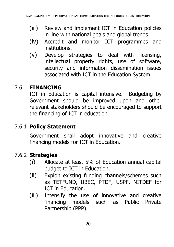- (iii) Review and implement ICT in Education policies in line with national goals and global trends.
- (iv) Accredit and monitor ICT programmes and institutions.
- (v) Develop strategies to deal with licensing, intellectual property rights, use of software, security and information dissemination issues associated with ICT in the Education System.

## 7.6 **FINANCING**

ICT in Education is capital intensive. Budgeting by Government should be improved upon and other relevant stakeholders should be encouraged to support the financing of ICT in education.

## 7.6.1 **Policy Statement**

Government shall adopt innovative and creative financing models for ICT in Education.

## 7.6.2 **Strategies**

- (i) Allocate at least 5% of Education annual capital budget to ICT in Education.
- (ii) Exploit existing funding channels/schemes such as TETFUND, UBEC, PTDF, USPF, NITDEF for ICT in Education.
- (iii) Intensify the use of innovative and creative financing models such as Public Private Partnership (PPP).